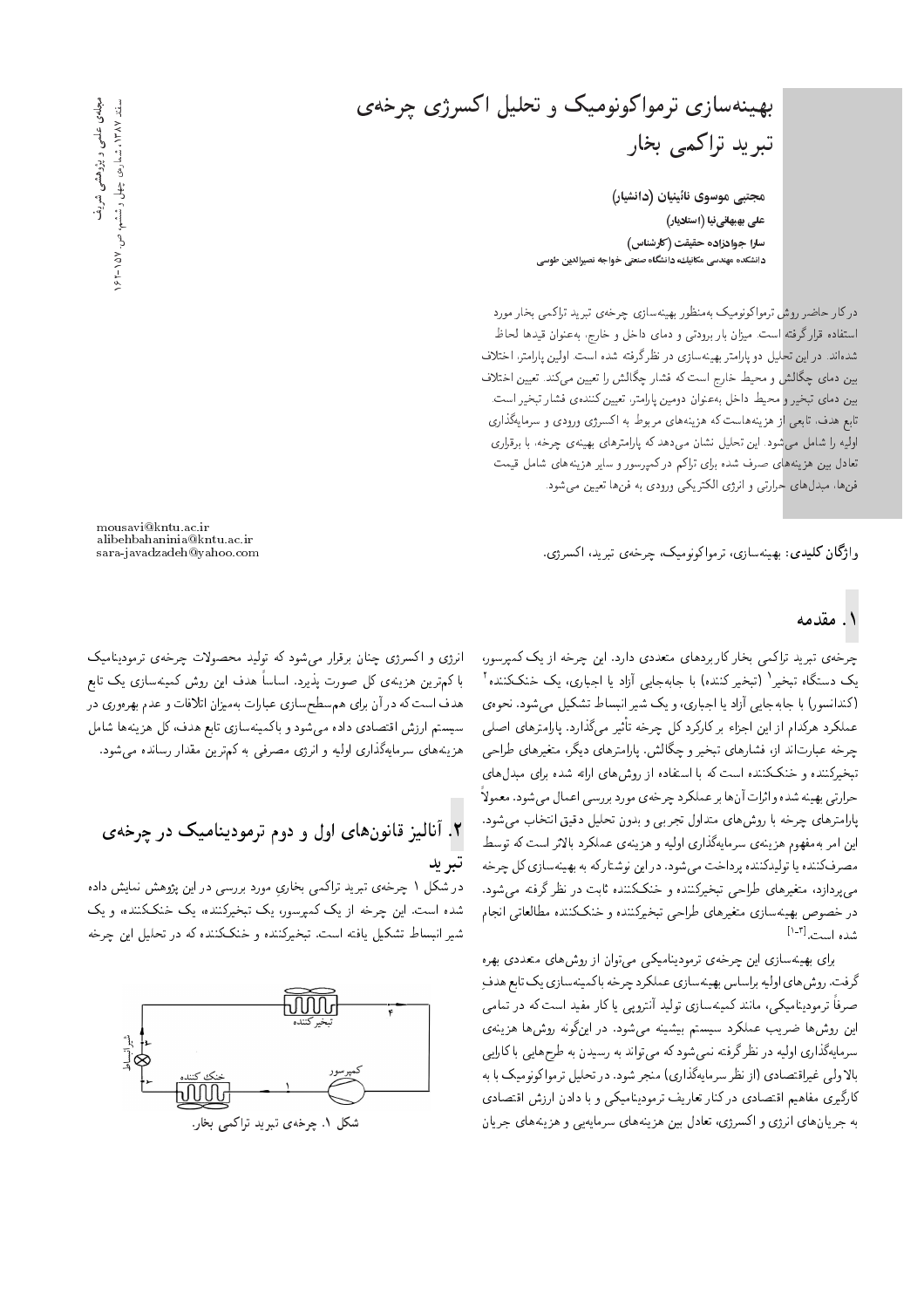بهینهسازی ترمواکونومیک و تحلیل اکسرژی چرخهی تبرید تراکمی بخار

مجتبی موسوی نائینیان (دانشیار) علی بهبهانی نیا (استادیار) سارا جوادزاده حقیقت (کارشناس) دانشکده مهندسی مکانیك، دانشگاه صنعتی خواجه نصیرالدین طوسی

درکار حاضر روش ترمواکونومیک بهمنظور بهینهسازی چرخهی تبرید تراکمی بخار مورد استفاده قرارگرفته است. میزان بار برودتی و دمای داخل و خارج، به عنوان قیدها لحاظ شدهاند. دراین تحلیل دو پارامتر بهینهسازی در نظر گرفته شده است. اولین پارامتر، اختلاف بین دمای چگالش و محیط خارج است که فشار چگالش را تعیین میکند. تعیین اختلاف بین دمای تبخیر و محیط داخل بهعنوان دومین پارامتر، تعیین کنندهی فشار تبخیر است. تابع هدف، تابعی از هزینههاست که هزینههای مربوط به اکسرژی ورودی و سرمایهگذاری اولیه را شامل میشود. این تحلیل نشان میدهد که پارامترهای بهینهی چرخه، با برقراری تعادل بین هزینههای صرف شده برای تراکم درکمپرسور و سایر هزینههای شامل قیمت فنها، مبدلهای حرارتی و انرژی الکتریکی ورودی به فنها تعیین می شود.

وا**ژگان کلیدی**: بهینهسازی، ترمواکونومیک، چرخهی تیرید، اکسرژی.

mousavi@kntu.ac.ir alibehbahaninia@kntu.ac.ir sara-javadzadeh@yahoo.com

### ۱. مقدمه

چرخهی تبرید تراکمی بخار کاربردهای متعددی دارد. این چرخه از یک کمپرسور، یک دستگاه تبخیر<sup>۱</sup> (تبخیرکننده) با جابهجایی آزاد یا اجباری، یک خنککننده<sup>۲</sup> (کندانسور) با جابهجایی آزاد یا اجباری، و یک شیر انبساط تشکیل میشود. نحوهی عملکرد هرکدام از این اجزاء بر کارکرد کل چرخه تأثیر میگذارد. پارامترهای اصلی چرخه عبارتاند از، فشارهای تبخیر و چگالش. پارامترهای دیگر، متغیرهای طراحی تبخیرکننده و خنککننده است که با استفاده از روش های ارائه شده برای مبدل های حرارتي بهينه شده و اثرات آنها بر عملكرد چرخهي مورد بررسي اعمال مي شود. معمولاً پارامترهای چرخه با روشهای متداول تجربی و بدون تحلیل دقیق انتخاب میشود. این امر بهمفهوم هزینهی سرمایهگذاری اولیه و هزینهی عملکرد بالاتر است که توسط مصرفکننده یا تولیدکننده پرداخت میشود. دراین نوشتارکه به بهینهسازی کل چرخه می،پردازد، متغیرهای طراحی تبخیرکننده و خنککننده ثابت در نظر گرفته می شود. در خصوص بهینهسازی متغیرهای طراحی تبخیرکننده و خنککننده مطالعاتی انجام شده است.<sup>[۲\_۱</sup>]

برای بهینهسازی این چرخهی ترمودینامیکی می توان از روش های متعددی بهره گرفت. روش های اولیه براساس بهینهسازی عملکرد چرخه باکمینهسازی یک تابع هدف صرفاً ترمودینامیکی، مانند کمینهسازی تولید آنتروپی یا کار مفید است که در تمامی این روشها ضریب عملکرد سیستم بیشینه میشود. در اینگونه روشها هزینهی سرمایهگذاری اولیه در نظرگرفته نمی شودکه می تواند به رسیدن به طرح هایی باکارایی بالا ولی غیراقتصادی (از نظر سرمایهگذاری) منجر شود. در تحلیل ترمواکونومیک با به کارگیری مفاهیم اقتصادی درکنار تعاریف ترمودینامیکی و با دادن ارزش اقتصادی به جریانهای انرژی و اکسرژی، تعادل بین هزینههای سرمایهیی و هزینههای جریان

انرژی و اکسرژی چنان برقرار میشود که تولید محصولات چرخهی ترمودینامیک با کم ترین هزینهی کل صورت پذیرد. اساساً هدف این روش کمینهسازی یک تابع هدف است که در آن برای هم سطحسازی عبارات بهمیزان اتلافات و عدم بهرهوری در سیستم ارزش اقتصادی داده میشود و باکمینهسازی تابع هدف،کل هزینهها شامل هزینههای سرمایهگذاری اولیه و انرژی مصرفی به کمترین مقدار رسانده میشود.

# ۲. آنالیز قانونهای اول و دوم ترمودینامیک در چرخهی تبر يد

در شکل ۱ چرخهی تبرید تراکمی بخاریِ مورد بررسی در این پژوهش نمایش داده شده است. این چرخه از یک کمیرسور، یک تبخیرکننده، یک خنککننده، و یک شیر انبساط تشکیل یافته است. تبخیرکننده و خنککننده که در تحلیل این چرخه

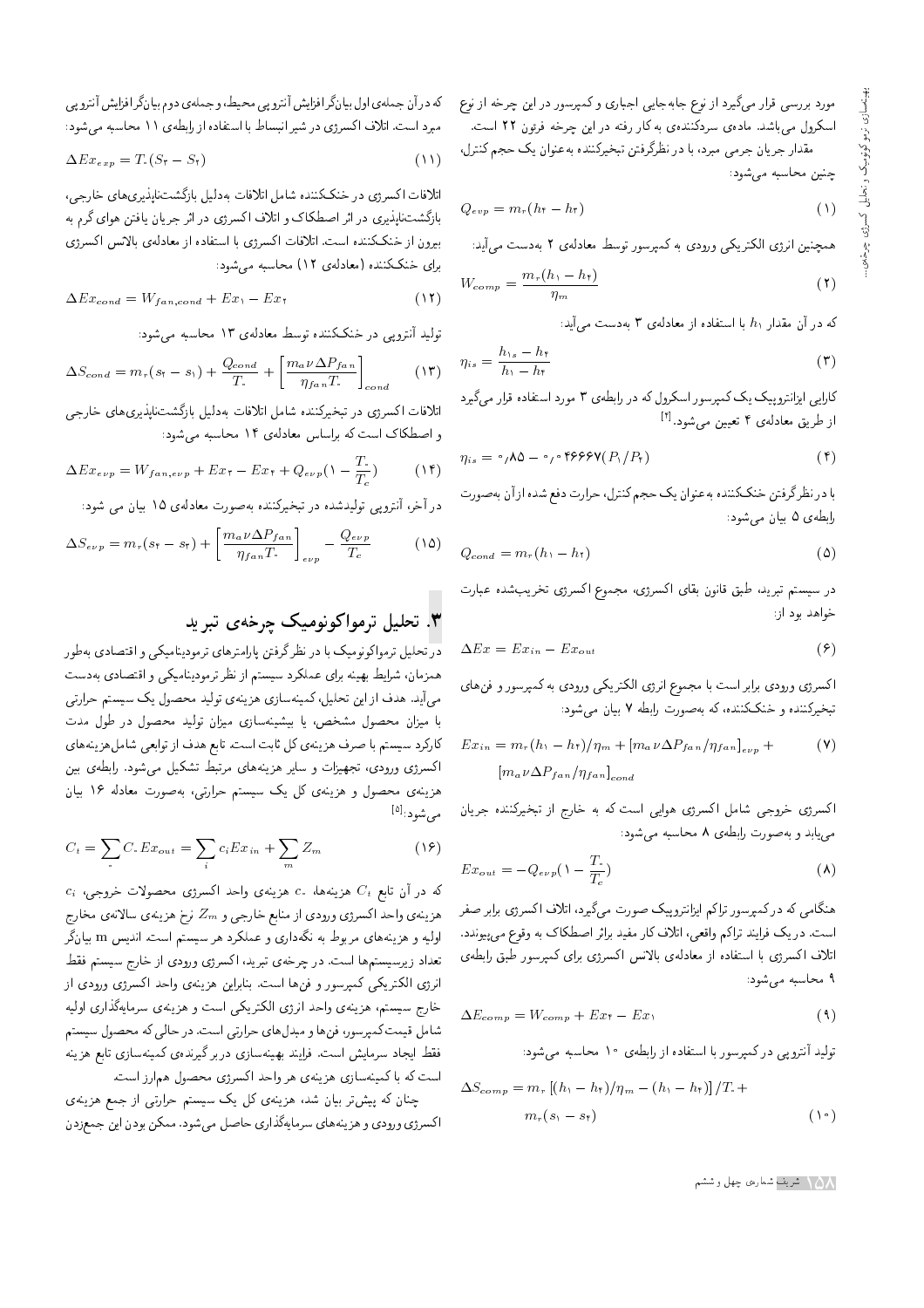مورد بررسی قرار میگیرد از نوع جابهجایی اجباری و کمپرسور در این چرخه از نوع اسکرول میباشد. مادهی سردکنندهی به کار رفته در این چرخه فرئون ۲۲ است.

مقدار جریان جرمی مبرد، با در نظرگرفتن تبخیرکننده به عنوان یک حجم کنترل، چنین محاسبه میشود:

$$
Q_{evp} = m_r(h_t - h_t) \tag{1}
$$

همچنین انرژی الکتریکی ورودی به کمپرسور توسط معادلهی ۲ بهدست می آید:

$$
W_{comp} = \frac{m_r(h_1 - h_\dagger)}{\eta_m} \tag{1}
$$

که در آن مقدار  $h_1$  با استفاده از معادلهی ۳ بهدست میآید:

$$
\eta_{is} = \frac{h_{\gamma s} - h_{\tau}}{h_{\gamma} - h_{\tau}} \tag{7}
$$

کارایی ایزانتروپیک یک کمپرسور اسکرول که در رابطهی ۳ مورد استفاده قرار میگیرد از طریق معادلهی ۴ تعیین میشود.<sup>[۴]</sup>

$$
\eta_{is} = \circ_{f} \Lambda \Delta - \circ_{f} \circ \mathfrak{f} \mathfrak{H} \mathfrak{H} \mathfrak{P} \mathfrak{P} \mathfrak{P} \mathfrak{P} \mathfrak{P} \mathfrak{P} \tag{f}
$$

با در نظرگرفتن خنککننده به عنوان یک حجم کنترل، حرارت دفع شده از آن بهصورت رابطهي ۵ بيان مي شود:

$$
Q_{cond} = m_r(h_1 - h_1) \tag{2}
$$

در سیستم تبرید، طبق قانون بقای اکسرژی، مجموع اکسرژی تخریبشده عبارت خواهد بود از:

$$
\Delta E x = E x_{in} - E x_{out} \tag{8}
$$

|كسرژى ورودى برابر است با مجموع انرژى الكتريكى ورودى به كمپرسور و فن هاى تبخیرکننده و خنککننده، که به صورت رابطه ۷ بیان می شود:

$$
Ex_{in} = m_r (h_1 - h_1) / \eta_m + [m_a \nu \Delta P_{fan} / \eta_{fan}]_{e\nu p} +
$$

$$
[m_a \nu \Delta P_{fan} / \eta_{fan}]_{cond}
$$
 (V)

اکسرژی خروجی شامل اکسرژی هوایی است که به خارج از تبخیرکننده جریان مییابد و به صورت رابطهی ۸ محاسبه میشود:

$$
Ex_{out} = -Q_{evp}(\lambda - \frac{T_{\cdot}}{T_{c}})
$$
\n
$$
\tag{A}
$$

هنگامی که درکمپرسور تراکم ایزانتروپیک صورت میگیرد، اتلاف اکسرژی برابر صفر است. در یک فرایند تراکم واقعی، اتلاف کار مفید براثر اصطکاک به وقوع می پیوندد. اتلاف اكسرژى با استفاده از معادلهى بالانس اكسرژى براى كمپرسور طبق رابطهى ۹ محاسبه می شود:

$$
\Delta E_{comp} = W_{comp} + E x_{\tau} - E x_{\tau}
$$
\n(4)

تولید آنتروپی در کمپرسور با استفاده از رابطهی ۱۰ محاسبه میشود:

$$
\Delta S_{comp} = m_r [(h_1 - h_\tau)/\eta_m - (h_1 - h_\tau)]/T +
$$
  

$$
m_r (s_1 - s_\tau)
$$
 (1°)

كه در آن جمله ى اول بيا نكَر افزايش أنتروپى محيط، و جملهى دوم بيانگر افزايش أنترو پى مبرد است. اتلاف اکسرژی در شیر انبساط با استفاده از رابطهی ۱۱ محاسبه می شود:

$$
\Delta E x_{exp} = T_{\rm t} (S_{\rm t} - S_{\rm t}) \tag{11}
$$

اتلافات اكسرژي در خنككننده شامل اتلافات بهدليل بازگشتناپذيري هاي خارجي، بازگشت،اپذیری در اثر اصطکاک و اتلاف اکسرژی در اثر جریان یافتن هوای گرم به بیرون از خنککننده است. اتلافات اکسرژی با استفاده از معادلهی بالانس اکسرژی برای خنککننده (معادلهی ۱۲) محاسبه می شود:

$$
\Delta Ex_{cond} = W_{fan,cond} + Ex_1 - Ex_1 \tag{17}
$$

تولید آنتروپی در خنککننده توسط معادلهی ۱۳ محاسبه می شود:

$$
\Delta S_{cond} = m_r(s_r - s_1) + \frac{Q_{cond}}{T_r} + \left[\frac{m_a \nu \Delta P_{fan}}{\eta_{fan} T_r}\right]_{cond}
$$
 (17)

اتلافات اکسرژی در تبخیرکننده شامل اتلافات بهدلیل بازگشتناپذیری های خارجی و اصطکاک است که براساس معادلهی ۱۴ محاسبه می شود:

$$
\Delta Ex_{\epsilon \nu p} = W_{fan, \epsilon \nu p} + Ex_{\tau} - Ex_{\tau} + Q_{\epsilon \nu p} (\lambda - \frac{T_{\text{e}}}{T_{\text{c}}}) \tag{14}
$$

در آخر، آنترویی تولیدشده در تبخیرکننده بهصورت معادلهی ۱۵ بیان می شود:

$$
\Delta S_{e\nu p} = m_r (s_\tau - s_\tau) + \left[ \frac{m_a \nu \Delta P_{fan}}{\eta_{fan} T} \right]_{e\nu p} - \frac{Q_{e\nu p}}{T_c}
$$
 (10)

# ۳. تحلیل ترمواکونومیک چرخهی تبرید

در تحلیل ترمواکونومیک با در نظرگرفتن پارامترهای ترمودینامیکی و اقتصادی ب*ه*طور همزمان، شرايط بهينه براي عملكرد سيستم از نظر ترموديناميكي و اقتصادي بهدست می آید. هدف از این تحلیل، کمینهسازی هزینهی تولید محصول یک سیستم حرارتی با میزان محصول مشخص، یا بیشینهسازی میزان تولید محصول در طول مدت كاركرد سيستم با صرف هزينهى كل ثابت است. تابع هدف از توابعي شامل هزينههاى اكسرژى ورودى، تجهيزات و ساير هزينههاى مرتبط تشكيل مىشود. رابطهى بين هزینهی محصول و هزینهی کل یک سیستم حرارتی، بهصورت معادله ۱۶ بیان مىشود:<sup>[۵]</sup>

$$
C_t = \sum_{i} C_i E x_{out} = \sum_{i} c_i E x_{in} + \sum_{m} Z_m \tag{18}
$$

 $c_i$  'در آن تابع  $C_t$  هزینهها،  $c_s$  هزینه $c_t$  هزینه  $C_t$  هزینه  $C_t$ هزينهى واحد اكسرژي ورودي از منابع خارجي و  $Z_m$  نرخ هزينهي سالانهي مخارج اولیه و هزینههای مربوط به نگهداری و عملکرد هر سیستم است. اندیس  ${\rm m}$  بیانگر تعداد زیرسیستمها است. در چرخهی تبرید، اکسرژی ورودی از خارج سیستم فقط انرژی الکتریکی کمپرسور و فن ها است. بنابراین هزینهی واحد اکسرژی ورودی از خارج سيستم، هزينهى واحد انرژى الكتريكي است و هزينهى سرمايهگذارى اوليه شامل قیمت کمپرسور، فن ها و مبدل های حرارتی است. در حالی که محصول سیستم فقط ايجاد سرمايش است. فرايند بهينهسازي دربرگيرندهي كمينهسازي تابع هزينه است كه با كمينهسازي هزينهي هر واحد اكسرژي محصول همارز است.

چنان که پیش تر بیان شد، هزینهی کل یک سیستم حرارتی از جمع هزینهی اکسرژی ورودی و هزینههای سرمایهگذاری حاصل میشود. ممکن بودن این جمعزدن

ه شریف شمارهی چهل و ششم  $\setminus \Delta$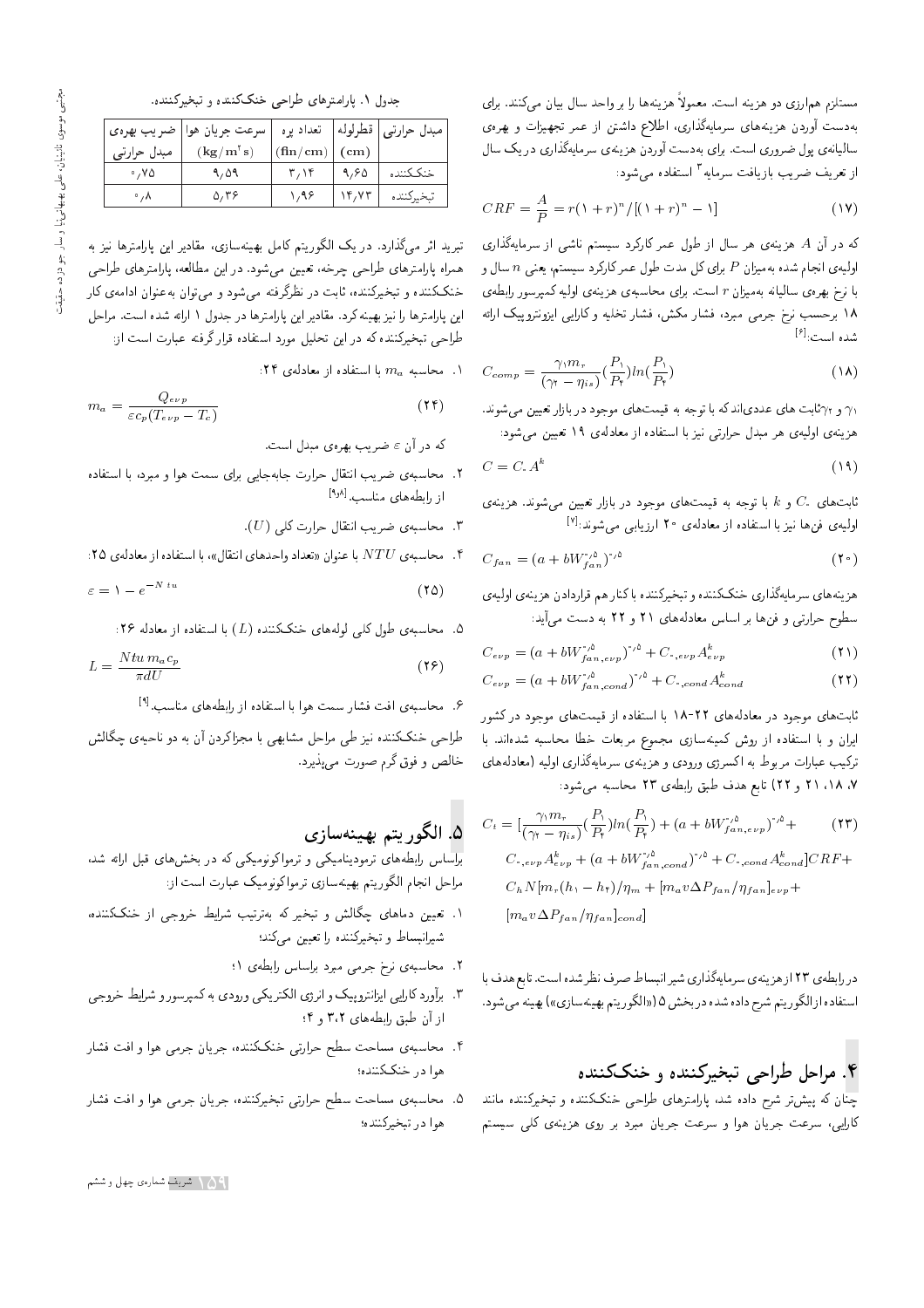مستلزم هم|رزي دو هزينه است. معمولاً هزينهها را بر واحد سال بيان مىكنند. براي بهدست أوردن هزينههاى سرمايهگذارى، اطلاع داشتن از عمر تجهيزات و بهرهى سالیانهی پول ضروری است. برای بهدست آوردن هزینهی سرمایهگذاری در یک سال از تعریف ضریب بازیافت سرمایه <sup>۳</sup> استفا<mark>ده</mark> می شود:

$$
CRF = \frac{A}{P} = r(1+r)^{n} / [(1+r)^{n} - 1]
$$
\n(19)

که در آن A هزینهی هر سال از طول عمر کارکرد سیستم ناشی از سرمایهگذاری اولیهی انجام شده بهمیزان P برای کل مدت طول عمر کارکرد سیستم، یعنبی n سال و با نرخ بهرهى ساليانه بهميزان r است. براى محاسبهى هزينهى اوليه كمپرسور رابطهى ۱۸ برحسب نرخ جرمی مبرد، فشار مکش، فشار تخلیه و کارایی ایزونتروپیک ارائه شده است:<sup>[۶]</sup>

$$
C_{comp} = \frac{\gamma_1 m_r}{(\gamma_1 - \eta_{is})} \left(\frac{P_1}{P_{\tau}}\right) \ln\left(\frac{P_1}{P_{\tau}}\right) \tag{1A}
$$

و  $\gamma$ ثابت های عددیاندکه با توجه به قیمت $d$ ای موجود در بازار تعیین میشوند.  $\gamma$ هزينهى اوليهى هر مبدل حرارتى نيز با استفاده از معادلهى ١٩ تعيين مى شود:

$$
C = C A^k \tag{14}
$$

الت های  $C_{i}$  و  $k$  با توجه به قیمت های موجود در بازار تعیین می شوند. هزینهی  $C_{i}$ اولیهی فنها نیز با استفاده از معادلهی <mark>۲</mark>۰ ارزیابی میشوند:<sup>[۷]</sup>

$$
C_{fan} = (a + bW_{fan}^{'\,0})^{'\,0} \tag{7} \bullet
$$

هزينه هاي سرمايهگذاري خنککننده و تبخيرکننده با کنار هم قراردادن هزينهي اوليهي سطوح حرارتی و فن ها بر اساس معادلههای ۲۱ و ۲۲ به دست میآید:

$$
C_{e\nu p} = (a + bW_{f\,an\,,e\nu p}^{\prime\,\prime\alpha})^{\prime\,\prime\alpha} + C_{\cdot\,,e\nu p} A_{e\nu p}^k \tag{1}
$$

$$
C_{e\nu p} = (a + bW_{fan,cond}^{*,\delta})^{*,\delta} + C_{*,cond} A_{cond}^k
$$
\n(11)

ثابت های موجود در معادلههای ۲۲-۱۸ با استفاده از قیمت های موجود درکشور ايران و با استفاده از روش كمينهسازي مجموع مربعات خطا محاسبه شدهاند. با ترکیب عبارات مربوط به اکسرژی ورودی و هزینهی سرمایهگذاری اولیه (معادلههای ×، ١٨، ٢١ و ٢٢) تابع هدف طبق رابطهى ٢٣ محاسبه مى شود:

$$
C_{t} = \left[\frac{\gamma_{1}m_{r}}{(\gamma_{1} - \eta_{is})}\left(\frac{P_{1}}{P_{\tau}}\right)ln\left(\frac{P_{1}}{P_{\tau}}\right) + \left(a + bW_{f_{an,evp}}^{*\,0}\right)^{*\,0} + \left(C_{\tau,evp}A_{evp}^{k} + \left(a + bW_{f_{an,cond}}^{*\,0}\right)^{*\,0} + C_{\tau,cond}A_{cond}^{k}\right]CRF + \left(C_{h}N\left[m_{r}(h_{1} - h_{\tau})/\eta_{m} + \left[m_{a}v\Delta P_{fan}/\eta_{fan}\right]_{evp} + \left[m_{a}v\Delta P_{fan}/\eta_{fan}\right]_{cond}\right]
$$

در رابطهی ۲۳ از هزینه ی سرمایهگذاری شیر انیساط صرف نظر شده است. تابع هدف با استفاده از الگوريتم شرح داده شده در بخش ۵ («الگوريتم بهينهسازي») بهينه مي شود.

# ۴. مراحل طراحی تبخیرکننده و خنککننده

.<br>چنان که پیش تر شرح داده شد، پارامترهای طراحی خنککننده و تبخیرکننده مانند کارایی، سرعت جریان هوا و سرعت جریان مبرد بر روی هزینهی کلی سیستم

### جدول ۱. پارامترهای طراحی خنککننده و تبخیرکننده.

| ضريب بهرهى              | مبدل حرارتی   قطرلوله    تعداد پره    سرعت جريان هوا |                          |      |            |
|-------------------------|------------------------------------------------------|--------------------------|------|------------|
| مبدل حرارتي             | $(\mathbf{kg}/\mathbf{m}^\dagger\mathbf{s})$         | $(\text{fin}/\text{cm})$ | (cm) |            |
| $^{\circ}$ , Y $\Delta$ | 9,09                                                 | T/15                     | 9,90 | خنككننده   |
| $\cdot$ , $\wedge$      | $\Delta$ ,۳۶                                         | ۱٬۹۶                     |      | تبخيركننده |

تبرید اثر میگذارد. در یک الگوریتم کامل بهینهسازی، مقادیر این پارامترها نیز به همراه بارامترهای طراحی حرخه، تعیین می شود. در این مطالعه، بارامترهای طراحی خنککننده و تبخیرکننده، ثابت در نظرگرفته میشود و می توان به عنوان ادامهی کار این پارلمترها را نیز بهینه کرد. مقادیر این پارلمترها در جدول ۱ ارائه شده است. مراحل طراحی تبخیرکننده که در این تحلیل مورد استفاده قرار گرفته عبارت است از:

. محاسبه  $m_a$  با استفاده از معادلهی ۲۴:

$$
m_a = \frac{Q_{e\nu p}}{\varepsilon c_p (T_{e\nu p} - T_c)}\tag{14}
$$

که در آن  $\varepsilon$  ضریب بهرهی مبدل است.

- x. محاسبه ی ضریب انتقال حرارت جابهجایی برای سمت هوا و مبرد، با استفاده از رابطههای مناسب.<sup>[۱٫۸]</sup>
	- ". محاسبهى ضريب انتقال حرارت كلبي  $(U)$ .

%. محاسبه ی $\overline{NTU}$  با عنوان «تعداد واحدهای انتقال»، با استفاده از معادله ی

$$
\varepsilon = \lambda - e^{-N \, tu} \tag{70}
$$

. محاسبه ی طول کلمی لولههای خنککننده  $(L)$  با استفاده از معادله ۲۶:

$$
L = \frac{N t u m_a c_p}{\pi dU} \tag{77}
$$

۶. محاسبه ی افت فشار سمت هوا با استفاده از رابطههای مناسب.<sup>[۹]</sup>

طراحی خنککننده نیز طی مراحل مشابهی با مجزاکردن آن به دو ناحیهی چگالش خالص و فوق گرم صورت می پذیرد.

# 0. الگوريتم بهينهسازي

'OW x=Q= p@k |=yVN@ QO xm |m}twvwm =wtQD w |m}t=v}OwtQD |=yx]@=Q T=U=Q@ .<br>مراحل انجام الگوریتم بهینهسازی ترمواکونومیک عبارت است از:

- ۰. تعیین دماهای چگالش و تبخیر که بهترتیب شرایط خروجی از خنککننده، شیرانبساط و تبخیرکننده را تعیین میکند؛
	- ۲. محاسبه ی نرخ جرمی مبرد براساس رابطه ی ۱؛
- |HwQN \}=QW w QwUQBtm x@ |OwQw |m} QDmr= |SQv= wl}BwQDv=R}= |}=Q=m OQw;Q@ "3 از آن طبق رابطه های ۳،۲ و ۴؛
- ۴. محاسبه ی مساحت سطح حرارت<sub>ی</sub> خنککننده، جریان جرمبی هوا و افت فشار هوا در خنککننده؛
- ۵. محاسبه ی مساحت سطح حرارتی تبخیرکننده، جریان جرمی هوا و افت فشار هوا در تبخيركننده؛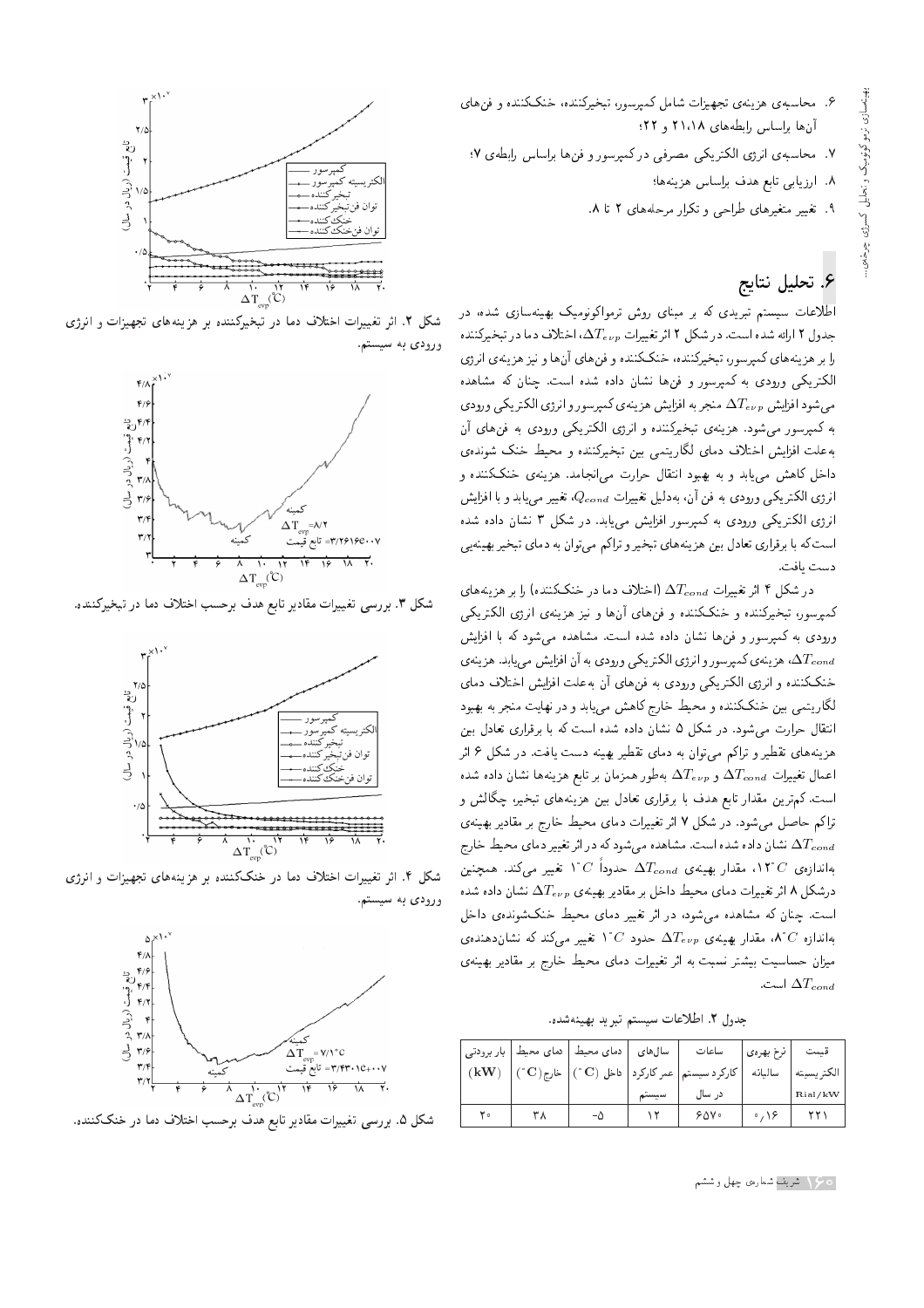- ۶. محاسبه، هزینه، تجهیزات شامل کمیرسور، تبخیرکننده، خنککننده و فن های ان ها براساس رابطه های ۲۱،۱۸ و ۲۲؛
- X. محاسبهى انرژى الكتريكي مصرفى دركمپرسور و فن&ا براساس رابطهى Y؛
	- .<br>A. ارزيابي تابع هدف براساس هزينهها؛
	- ۹. تغییر متغیرهای طراحی و تکرار مرحلههای ۲ تا ۸.

# ۶. تحلیل نتایج

اطلاعات سیستم تبریدی که بر مبنای روش ترمواکونومیک بهینهسازی شده، در جدول ۲ ارائه شده است. در شکل ۲ اثر تغییرات  $\Delta T_{e\nu p}$ ، اختلاف دما در تبخیرکننده را بر هزینههای کمپرسور، تبخیرکننده، خنککننده و فنهای آنها و نیز هزینهی انرژی الکتریکی ورودی به کمپرسور و فنها نشان داده شده است. چنان که مشاهده می شود افزایش  $\Delta T_{e\nu p}$  منجر به افزایش هزینه ی کمپرسور و انرژی الکتریکی ورودی به كمپرسور مى شود. هزينهى تبخيركننده و انرژى الكتريكى ورودى به فن هاى آن به علت افزایش اختلاف دمای لگاریتمی بین تبخیرکننده و محیط خنک شوندهی داخل کاهش میهابد و به بهبود انتقال حرارت می|نجامد. هزینهی خنککننده و انرژی الکتریکی ورودی به فن آن، بهدلیل تغییرات  $Q_{cond}$ ، تغییر می یابد و با افزایش انرژی الکتریکی ورودی به کمیرسور افزایش می یابد. در شکل ۳ نشان داده شده است که با برقراری تعادل بین هزینههای تبخیرو تراکم می توان به دمای تبخیر بهینهیی دست يافت.

در شکل ۴ اثر تغییرات  $\Delta T_{cond}$  (اختلاف دما در خنککننده) را بر هزینههای كمپرسور، تبخيركننده و خنككننده و فن هاى آن ها و نيز هزينهى انرژى الكتريكى ورودی به کمپرسور و فن ها نشان داده شده است. مشاهده می شود که با افزایش هزينهى كميرسور وانرژى الكتريكي ورودى به آن افزايش مى يابد. هزينهى  $\Delta T_{cond}$ خنككننده و انرژى الكتريكى ورودى به فن هاى آن به علت افزايش اختلاف دماى لگاریتمی بین خنککننده و محیط خارج کاهش مییابد و در نهایت منجر به بهبود انتقال حرارت می شود. در شکل ۵ نشان داده شده است که با برقراری تعادل بین هزینههای تقطیر و تراکم میهتوان به دمای تقطیر بهینه دست یافت. در شکل ۶ اثر اعمال تغییرات  $\Delta T_{evp}$  و  $\Delta T_{evp}$  بهطور همزمان بر تابع هزینهها نشان داده شده است. کم ترین مقدار تابع هدف با برقراری تعادل بین هزینههای تبخیر، چگالش و تراكم حاصل مى شود. در شكل ۷ اثر تغييرات دماى محيط خارج بر مقادير بهينهى نشان داده شده است. مشاهده می شود که در اثر تغییر دمای محیط خارج  $\Delta T_{cond}$ بهاندازەی  $C$ ۱۲°C ، مقدار بهینەی  $\Delta T_{cond}$  حدوداً  $C$ ۱ تغییر میکند. همچنین درشکل ۸ اثر تغییرات دمای محیط داخل بر مقادیر بهینهی  $\Delta T_{e\nu p}$  نشان داده شده است. چنان که مشاهده می شود، در اثر تغییر دمای محیط خنکشوندهی داخل بهاندازه  $C$ ۸، مقدار بهینهی  $\Delta T_{e\nu p}$  حدود  $C$ ۱٬ تغییر میکند که نشان<code>c</code>هندهی میزان حساسیت بیشتر نسبت به اثر تغییرات دمای محیط خارج بر مقادیر بهینهی است.  $\Delta T_{cond}$ 

جدول ٢. اطلاعات سيستم تبريد بهينهشده.

|      |     |       | نرخ بهروی       ساعات         سال های     دمای محیط   دمای محیط   بار برودتی                                                           |              | قيمت       |
|------|-----|-------|----------------------------------------------------------------------------------------------------------------------------------------|--------------|------------|
| (kW) |     |       | $\mathbf{C}^{\text{max}}\left(\mathbf{C}\right)$ کارگرد سیستم $\mathbf{C}$ عمر کارگرد $\mathbf{C}$ داخل $\mathbf{C}^{\text{max}}$ خارج | ساليانه      | الكتريسيته |
|      |     | سيستم | در سال                                                                                                                                 |              | Rial/kW    |
| ه ۲  | - 5 |       | ۷۵۰ ۶                                                                                                                                  | $\cdot$ , 18 |            |



شکل ۲. اثر تغییرات اختلاف دما در تبخیرکننده بر هزینههای تجهیزات و انرژی ورودي به سيستم.



شکل ۳. بررسی تغییرات مقادیر تابع هدف برحسب اختلاف دما در تبخیرکننده.



شکل ۴. اثر تغییرات اختلاف دما در خنککننده بر هزینههای تجهیزات و انرژی ورود*ی* به سیستم.



شکل ۵. بررسی تغییرات مقادیر تابع هدف برحسب اختلاف دما در خنککننده.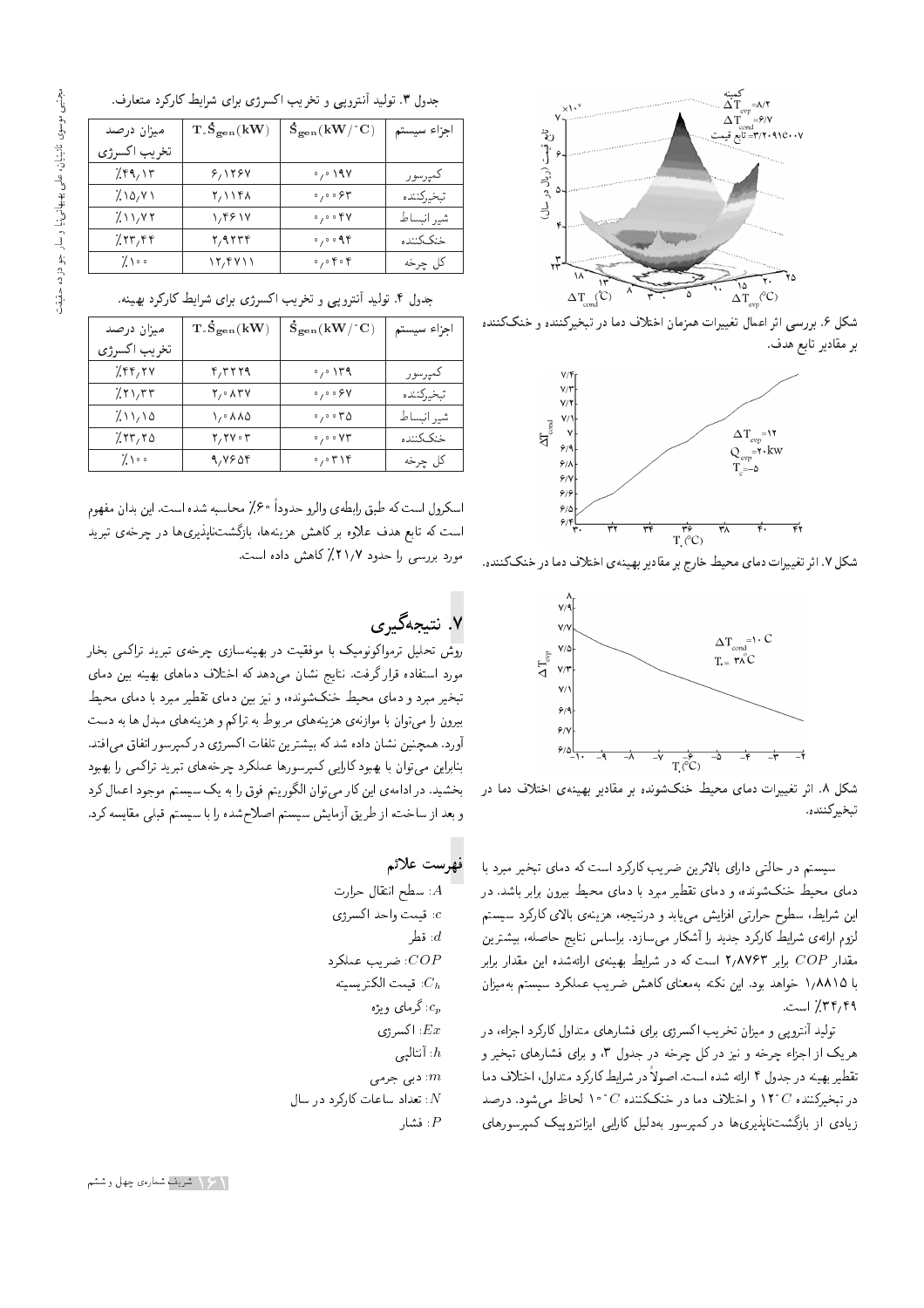

شکل ۶. بررسی اثر اعمال تغییرات همزمان اختلاف دما در تبخیرکننده و خنککننده بر مقادير تابع هدف.



شکل ۷. اثر تغییرات دمای محیط خارج بر مقادیر بهینهی اختلاف دما در خنککننده.



شکل ۸. اثر تغییرات دمای محیط خنکشونده بر مقادیر بهینهی اختلاف دما در تبخيركننده.

سیستم در حالت<sub>می</sub> دارای بالاترین ضریب کارکرد است که دمای تبخیر مبرد با دمای محیط خنکشونده، و دمای تقطیر مبرد با دمای محیط بیرون برابر باشد. در این شرایط، سطوح حرارتی افزایش می<sub>ما</sub>بابد و درنتیجه، هزینهی بالای کارکرد سیستم لزوم ارائهى شرايط كاركرد جديد را أشكار مىسازد. براساس نتايج حاصله، بيشترين مقدار COP برابر ۲٬۸۷۶۳ است که در شرایط بهینهی ارائهشده این مقدار برابر با ١/٨٨١٥ خواهد بود. اين نكته بهمعناى كاهش ضريب عملكرد سيستم بهميزان ٣۴,۴٩ است.

تولید آنترویی و میزان تخریب اکسرژی برای فشارهای متداول کارکرد اجزاء، در هریک از اجزاء چرخه و نیز در کل چرخه در جدول ۳، و برای فشارهای تبخیر و تقطير بهينه در جدول ۴ ارائه شده است. اصولاً در شرايط كاركرد متداول، اختلاف دما در تبخیرکننده  $C$ ۲۴ و اختلاف دما در خنککننده  $C$ ۲۰ اف $C$  میشود. درصد زیادی از بازگشتناپذیری ها در کمپرسور بهدلیل کارایی ایزانتروییک کمپرسورهای

#### جدول ۳. تولید آنتروپی و تخریب اکسرژی برای شرایط کارکرد متعارف.

| میزان درصد   | T.S <sub>gen</sub> (kW) | $\rm \dot{S}_{\rm gen}({\rm \bf kW}/^{\circ}C)$ | جزاء سيستم  |
|--------------|-------------------------|-------------------------------------------------|-------------|
| تخريب اكسرژي |                         |                                                 |             |
| 7.89,15      | 8,1784                  | $\circ$ , $\circ$ 198                           | كمپرسور     |
| 7.10, 11     | ۲٬۱۱۴۸                  | $\circ$ , $\circ$ , $\circ$ $\circ$ $\circ$     | تبخيركننده  |
| 7.11.77      | 1,4614                  | $\circ$ , $\circ$ of $\gamma$                   | شير انبساط  |
| 755.58       | ۲٫۹۲۳۴                  | 0,0.98                                          | خنكر كمننده |
| くい。          | 12,4411                 | $\circ$ , $\circ$ $\circ$ $\circ$ $\circ$       | کل چرخه     |

جدول ۴. تولید أنترویی و تخریب اکسرژی برای شرایط کارکرد بهینه.

| میزان درصد   | T.S <sub>gen</sub> (kW)                              | $\dot{\mathbf{S}}_{\text{gen}}(\mathbf{kW}/\mathbf{C})$ | اجزاء سيستم |
|--------------|------------------------------------------------------|---------------------------------------------------------|-------------|
| تخريب اكسرژي |                                                      |                                                         |             |
| 7.88,84      | ۴٫۳۲۲۹                                               | $\cdot$ , $\cdot$ \ry                                   | كمپرسور     |
| 25177        | $Y/\cdot \Lambda Y$                                  | $\circ$ , $\circ$ $\circ$ $\circ$ Y                     | تبخيركننده  |
| 211/10       | ۱٬۰۸۸۵                                               | $\circ$ , $\circ$ $\circ$ $\uparrow$ $\circ$            | شير انبساط  |
| 7.7770       | $\mathbf{Y}, \mathbf{Y} \mathbf{V} \cdot \mathbf{Y}$ | $\circ$ , $\circ$ o $VT$                                | خنكر كمننده |
| くい。          | 9, 1904                                              | $\cdot$ , $\cdot$ $\uparrow$ \ $\uparrow$               | كل چرخه     |

اسکرول است که طبق رابطهي والرو حدوداً °۶٪ محاسبه شده است. اين بدان مفهوم است که تابع هدف علاوه برکاهش هزینهها، بازگشت $i$ لیدیری۱ در چرخهی تبرید مورد بررسی را حدود ٢١/٢٪ كاهش داده است.

# ۷. نتیجهگیری

<mark>روش تحلیل ترمواکونومیک با موفقیت در بهین</mark>هسازی چرخهی تبرید تراکمی بخار مورد استفاده قرار گرفت. نتايج نشان مى دهد كه اختلاف دماهاى بهينه بين دماى تبخیر مبرد و دمای محیط خنکشونده، و نیز بین دمای تقطیر مبرد با دمای محیط بیرون را می توان با موازنه ی هزینه های مربوط به تراکم و هزینه های مبدل ها به دست أورد. همچنین نشان داده شد که بیشترین تلفات اکسرژی درکمپرسور اتفاق می افتد. بنابراین میتوان با بهبود کارایی کمپرسورها عملکرد چرخههای تبرید تراکمی را بهبود بخشید. در ادامهی این کار می توان الگوریتم فوق را به یک سیستم موجود اعمال کرد و بعد از ساخت، از طريق آزمايش سيستم اصلاح شده را با سيستم قبلي مقايسه كرد.

### فهرست علائم

 $\vdots$ سطح انتقال حرارت : $A$  $c$  قیمت واحد اکسرژی  $c$ : قط, خىرىب عملكرد: $COP$ : قيمت الكتريسيته  $c_{\bm p}$  گرمای ویژه: اکسرژی  $Ex$  $h$  أنتاليب $h$ : دبی جرمی تعداد ساعات كاركرد در سال $N$ : فشار  $\cdot P$